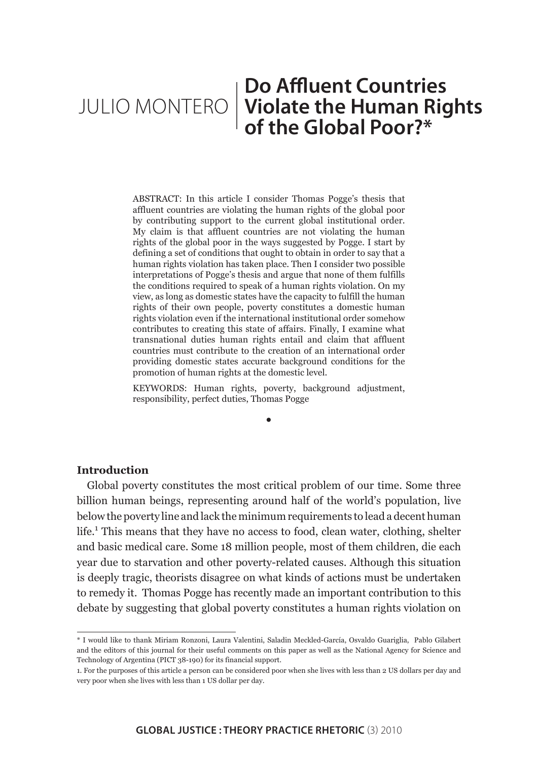# JULIO MONTERO **Violate the Human Rights Do Affluent Countries of the Global Poor?\***

ABSTRACT: In this article I consider Thomas Pogge's thesis that affluent countries are violating the human rights of the global poor by contributing support to the current global institutional order. My claim is that affluent countries are not violating the human rights of the global poor in the ways suggested by Pogge. I start by defining a set of conditions that ought to obtain in order to say that a human rights violation has taken place. Then I consider two possible interpretations of Pogge's thesis and argue that none of them fulfills the conditions required to speak of a human rights violation. On my view, as long as domestic states have the capacity to fulfill the human rights of their own people, poverty constitutes a domestic human rights violation even if the international institutional order somehow contributes to creating this state of affairs. Finally, I examine what transnational duties human rights entail and claim that affluent countries must contribute to the creation of an international order providing domestic states accurate background conditions for the promotion of human rights at the domestic level.

KEYWORDS: Human rights, poverty, background adjustment, responsibility, perfect duties, Thomas Pogge

•

## **Introduction**

Global poverty constitutes the most critical problem of our time. Some three billion human beings, representing around half of the world's population, live below the poverty line and lack the minimum requirements to lead a decent human life.<sup>1</sup> This means that they have no access to food, clean water, clothing, shelter and basic medical care. Some 18 million people, most of them children, die each year due to starvation and other poverty-related causes. Although this situation is deeply tragic, theorists disagree on what kinds of actions must be undertaken to remedy it. Thomas Pogge has recently made an important contribution to this debate by suggesting that global poverty constitutes a human rights violation on

<sup>\*</sup> I would like to thank Miriam Ronzoni, Laura Valentini, Saladin Meckled-García, Osvaldo Guariglia, Pablo Gilabert and the editors of this journal for their useful comments on this paper as well as the National Agency for Science and Technology of Argentina (PICT 38-190) for its financial support.

<sup>1.</sup> For the purposes of this article a person can be considered poor when she lives with less than 2 US dollars per day and very poor when she lives with less than 1 US dollar per day.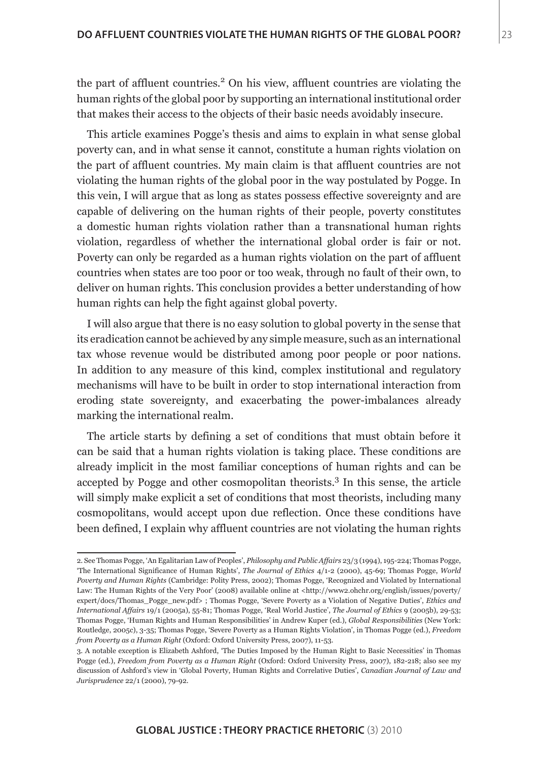the part of affluent countries.<sup>2</sup> On his view, affluent countries are violating the human rights of the global poor by supporting an international institutional order that makes their access to the objects of their basic needs avoidably insecure.

This article examines Pogge's thesis and aims to explain in what sense global poverty can, and in what sense it cannot, constitute a human rights violation on the part of affluent countries. My main claim is that affluent countries are not violating the human rights of the global poor in the way postulated by Pogge. In this vein, I will argue that as long as states possess effective sovereignty and are capable of delivering on the human rights of their people, poverty constitutes a domestic human rights violation rather than a transnational human rights violation, regardless of whether the international global order is fair or not. Poverty can only be regarded as a human rights violation on the part of affluent countries when states are too poor or too weak, through no fault of their own, to deliver on human rights. This conclusion provides a better understanding of how human rights can help the fight against global poverty.

I will also argue that there is no easy solution to global poverty in the sense that its eradication cannot be achieved by any simple measure, such as an international tax whose revenue would be distributed among poor people or poor nations. In addition to any measure of this kind, complex institutional and regulatory mechanisms will have to be built in order to stop international interaction from eroding state sovereignty, and exacerbating the power-imbalances already marking the international realm.

The article starts by defining a set of conditions that must obtain before it can be said that a human rights violation is taking place. These conditions are already implicit in the most familiar conceptions of human rights and can be accepted by Pogge and other cosmopolitan theorists.<sup>3</sup> In this sense, the article will simply make explicit a set of conditions that most theorists, including many cosmopolitans, would accept upon due reflection. Once these conditions have been defined, I explain why affluent countries are not violating the human rights

<sup>2.</sup> See Thomas Pogge, 'An Egalitarian Law of Peoples', *Philosophy and Public Affairs* 23/3 (1994), 195-224; Thomas Pogge, 'The International Significance of Human Rights', *The Journal of Ethics* 4/1-2 (2000), 45-69; Thomas Pogge, *World Poverty and Human Rights* (Cambridge: Polity Press, 2002); Thomas Pogge, 'Recognized and Violated by International Law: The Human Rights of the Very Poor' (2008) available online at <http://www2.ohchr.org/english/issues/poverty/ expert/docs/Thomas\_Pogge\_new.pdf> ; Thomas Pogge, 'Severe Poverty as a Violation of Negative Duties', *Ethics and International Affairs* 19/1 (2005a), 55-81; Thomas Pogge, 'Real World Justice', *The Journal of Ethics* 9 (2005b), 29-53; Thomas Pogge, 'Human Rights and Human Responsibilities' in Andrew Kuper (ed.), *Global Responsibilities* (New York: Routledge, 2005c), 3-35; Thomas Pogge, 'Severe Poverty as a Human Rights Violation', in Thomas Pogge (ed.), *Freedom from Poverty as a Human Right* (Oxford: Oxford University Press, 2007), 11-53.

<sup>3.</sup> A notable exception is Elizabeth Ashford, 'The Duties Imposed by the Human Right to Basic Necessities' in Thomas Pogge (ed.), *Freedom from Poverty as a Human Right* (Oxford: Oxford University Press, 2007), 182-218; also see my discussion of Ashford's view in 'Global Poverty, Human Rights and Correlative Duties', *Canadian Journal of Law and Jurisprudence* 22/1 (2000), 79-92.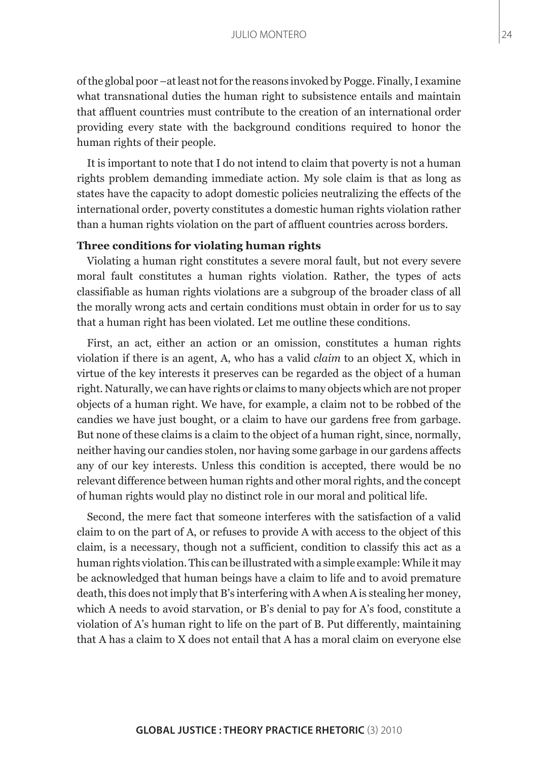of the global poor –at least not for the reasons invoked by Pogge. Finally, I examine what transnational duties the human right to subsistence entails and maintain that affluent countries must contribute to the creation of an international order providing every state with the background conditions required to honor the human rights of their people.

It is important to note that I do not intend to claim that poverty is not a human rights problem demanding immediate action. My sole claim is that as long as states have the capacity to adopt domestic policies neutralizing the effects of the international order, poverty constitutes a domestic human rights violation rather than a human rights violation on the part of affluent countries across borders.

## **Three conditions for violating human rights**

Violating a human right constitutes a severe moral fault, but not every severe moral fault constitutes a human rights violation. Rather, the types of acts classifiable as human rights violations are a subgroup of the broader class of all the morally wrong acts and certain conditions must obtain in order for us to say that a human right has been violated. Let me outline these conditions.

First, an act, either an action or an omission, constitutes a human rights violation if there is an agent, A, who has a valid *claim* to an object X, which in virtue of the key interests it preserves can be regarded as the object of a human right. Naturally, we can have rights or claims to many objects which are not proper objects of a human right. We have, for example, a claim not to be robbed of the candies we have just bought, or a claim to have our gardens free from garbage. But none of these claims is a claim to the object of a human right, since, normally, neither having our candies stolen, nor having some garbage in our gardens affects any of our key interests. Unless this condition is accepted, there would be no relevant difference between human rights and other moral rights, and the concept of human rights would play no distinct role in our moral and political life.

Second, the mere fact that someone interferes with the satisfaction of a valid claim to on the part of A, or refuses to provide A with access to the object of this claim, is a necessary, though not a sufficient, condition to classify this act as a human rights violation. This can be illustrated with a simple example: While it may be acknowledged that human beings have a claim to life and to avoid premature death, this does not imply that B's interfering with A when A is stealing her money, which A needs to avoid starvation, or B's denial to pay for A's food, constitute a violation of A's human right to life on the part of B. Put differently, maintaining that A has a claim to X does not entail that A has a moral claim on everyone else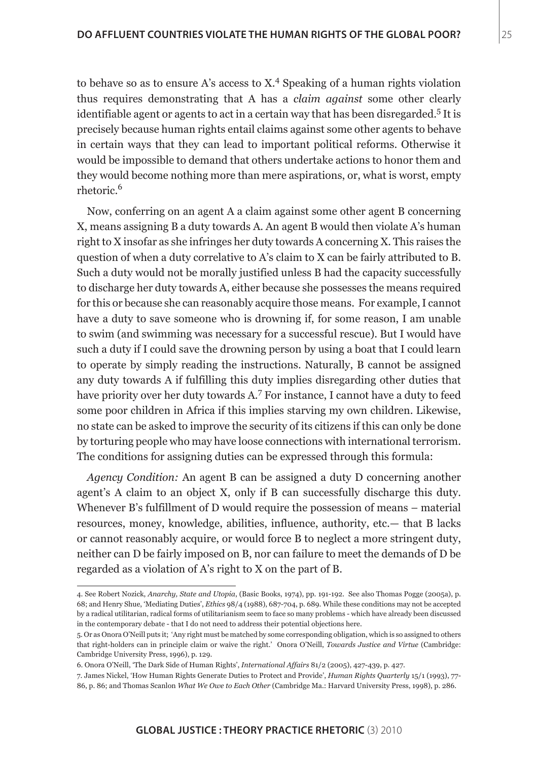to behave so as to ensure A's access to X.<sup>4</sup> Speaking of a human rights violation thus requires demonstrating that A has a *claim against* some other clearly identifiable agent or agents to act in a certain way that has been disregarded.<sup>5</sup> It is precisely because human rights entail claims against some other agents to behave in certain ways that they can lead to important political reforms. Otherwise it would be impossible to demand that others undertake actions to honor them and they would become nothing more than mere aspirations, or, what is worst, empty rhetoric.6

Now, conferring on an agent A a claim against some other agent B concerning X, means assigning B a duty towards A. An agent B would then violate A's human right to X insofar as she infringes her duty towards A concerning X. This raises the question of when a duty correlative to A's claim to X can be fairly attributed to B. Such a duty would not be morally justified unless B had the capacity successfully to discharge her duty towards A, either because she possesses the means required for this or because she can reasonably acquire those means. For example, I cannot have a duty to save someone who is drowning if, for some reason, I am unable to swim (and swimming was necessary for a successful rescue). But I would have such a duty if I could save the drowning person by using a boat that I could learn to operate by simply reading the instructions. Naturally, B cannot be assigned any duty towards A if fulfilling this duty implies disregarding other duties that have priority over her duty towards A.<sup>7</sup> For instance, I cannot have a duty to feed some poor children in Africa if this implies starving my own children. Likewise, no state can be asked to improve the security of its citizens if this can only be done by torturing people who may have loose connections with international terrorism. The conditions for assigning duties can be expressed through this formula:

*Agency Condition:* An agent B can be assigned a duty D concerning another agent's A claim to an object X, only if B can successfully discharge this duty. Whenever B's fulfillment of D would require the possession of means – material resources, money, knowledge, abilities, influence, authority, etc.— that B lacks or cannot reasonably acquire, or would force B to neglect a more stringent duty, neither can D be fairly imposed on B, nor can failure to meet the demands of D be regarded as a violation of A's right to X on the part of B.

<sup>4.</sup> See Robert Nozick, *Anarchy, State and Utopia*, (Basic Books, 1974), pp. 191-192. See also Thomas Pogge (2005a), p. 68; and Henry Shue, 'Mediating Duties', *Ethics* 98/4 (1988), 687-704, p. 689. While these conditions may not be accepted by a radical utilitarian, radical forms of utilitarianism seem to face so many problems - which have already been discussed in the contemporary debate - that I do not need to address their potential objections here.

<sup>5.</sup> Or as Onora O'Neill puts it; 'Any right must be matched by some corresponding obligation, which is so assigned to others that right-holders can in principle claim or waive the right.' Onora O'Neill, *Towards Justice and Virtue* (Cambridge: Cambridge University Press, 1996), p. 129.

<sup>6.</sup> Onora O'Neill, 'The Dark Side of Human Rights', *International Affairs* 81/2 (2005), 427-439, p. 427.

<sup>7.</sup> James Nickel, 'How Human Rights Generate Duties to Protect and Provide', *Human Rights Quarterly* 15/1 (1993), 77- 86, p. 86; and Thomas Scanlon *What We Owe to Each Other* (Cambridge Ma.: Harvard University Press, 1998), p. 286.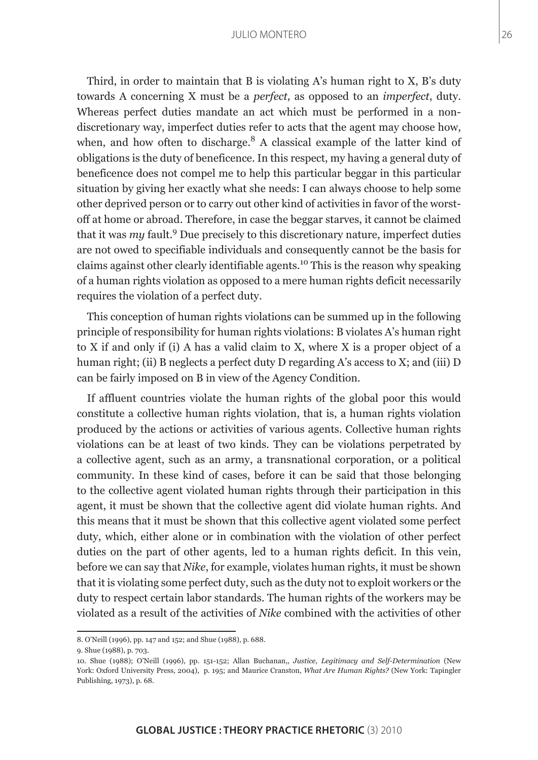Third, in order to maintain that B is violating A's human right to X, B's duty towards A concerning X must be a *perfect*, as opposed to an *imperfect*, duty. Whereas perfect duties mandate an act which must be performed in a nondiscretionary way, imperfect duties refer to acts that the agent may choose how, when, and how often to discharge.<sup>8</sup> A classical example of the latter kind of obligations is the duty of beneficence. In this respect, my having a general duty of beneficence does not compel me to help this particular beggar in this particular situation by giving her exactly what she needs: I can always choose to help some other deprived person or to carry out other kind of activities in favor of the worstoff at home or abroad. Therefore, in case the beggar starves, it cannot be claimed that it was *my* fault.<sup>9</sup> Due precisely to this discretionary nature, imperfect duties are not owed to specifiable individuals and consequently cannot be the basis for claims against other clearly identifiable agents.10 This is the reason why speaking of a human rights violation as opposed to a mere human rights deficit necessarily requires the violation of a perfect duty.

This conception of human rights violations can be summed up in the following principle of responsibility for human rights violations: B violates A's human right to X if and only if (i) A has a valid claim to X, where X is a proper object of a human right; (ii) B neglects a perfect duty D regarding A's access to X; and (iii) D can be fairly imposed on B in view of the Agency Condition.

If affluent countries violate the human rights of the global poor this would constitute a collective human rights violation, that is, a human rights violation produced by the actions or activities of various agents. Collective human rights violations can be at least of two kinds. They can be violations perpetrated by a collective agent, such as an army, a transnational corporation, or a political community. In these kind of cases, before it can be said that those belonging to the collective agent violated human rights through their participation in this agent, it must be shown that the collective agent did violate human rights. And this means that it must be shown that this collective agent violated some perfect duty, which, either alone or in combination with the violation of other perfect duties on the part of other agents, led to a human rights deficit. In this vein, before we can say that *Nike*, for example, violates human rights, it must be shown that it is violating some perfect duty, such as the duty not to exploit workers or the duty to respect certain labor standards. The human rights of the workers may be violated as a result of the activities of *Nike* combined with the activities of other

<sup>8.</sup> O'Neill (1996), pp. 147 and 152; and Shue (1988), p. 688.

<sup>9.</sup> Shue (1988), p. 703.

<sup>10.</sup> Shue (1988); O'Neill (1996), pp. 151-152; Allan Buchanan,, *Justice, Legitimacy and Self-Determination* (New York: Oxford University Press, 2004), p. 195; and Maurice Cranston, *What Are Human Rights?* (New York: Tapingler Publishing, 1973), p. 68.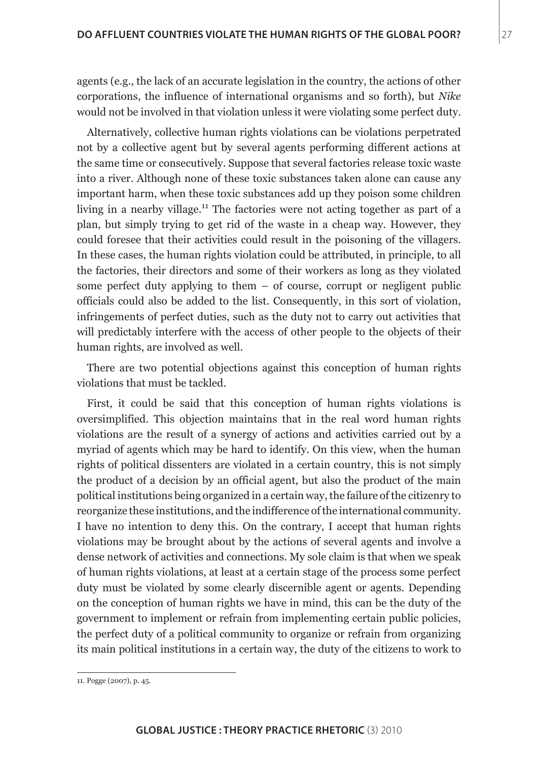agents (e.g., the lack of an accurate legislation in the country, the actions of other corporations, the influence of international organisms and so forth), but *Nike* would not be involved in that violation unless it were violating some perfect duty.

Alternatively, collective human rights violations can be violations perpetrated not by a collective agent but by several agents performing different actions at the same time or consecutively. Suppose that several factories release toxic waste into a river. Although none of these toxic substances taken alone can cause any important harm, when these toxic substances add up they poison some children living in a nearby village.<sup>11</sup> The factories were not acting together as part of a plan, but simply trying to get rid of the waste in a cheap way. However, they could foresee that their activities could result in the poisoning of the villagers. In these cases, the human rights violation could be attributed, in principle, to all the factories, their directors and some of their workers as long as they violated some perfect duty applying to them  $-$  of course, corrupt or negligent public officials could also be added to the list. Consequently, in this sort of violation, infringements of perfect duties, such as the duty not to carry out activities that will predictably interfere with the access of other people to the objects of their human rights, are involved as well.

There are two potential objections against this conception of human rights violations that must be tackled.

First, it could be said that this conception of human rights violations is oversimplified. This objection maintains that in the real word human rights violations are the result of a synergy of actions and activities carried out by a myriad of agents which may be hard to identify. On this view, when the human rights of political dissenters are violated in a certain country, this is not simply the product of a decision by an official agent, but also the product of the main political institutions being organized in a certain way, the failure of the citizenry to reorganize these institutions, and the indifference of the international community. I have no intention to deny this. On the contrary, I accept that human rights violations may be brought about by the actions of several agents and involve a dense network of activities and connections. My sole claim is that when we speak of human rights violations, at least at a certain stage of the process some perfect duty must be violated by some clearly discernible agent or agents. Depending on the conception of human rights we have in mind, this can be the duty of the government to implement or refrain from implementing certain public policies, the perfect duty of a political community to organize or refrain from organizing its main political institutions in a certain way, the duty of the citizens to work to

<sup>11.</sup> Pogge (2007), p. 45.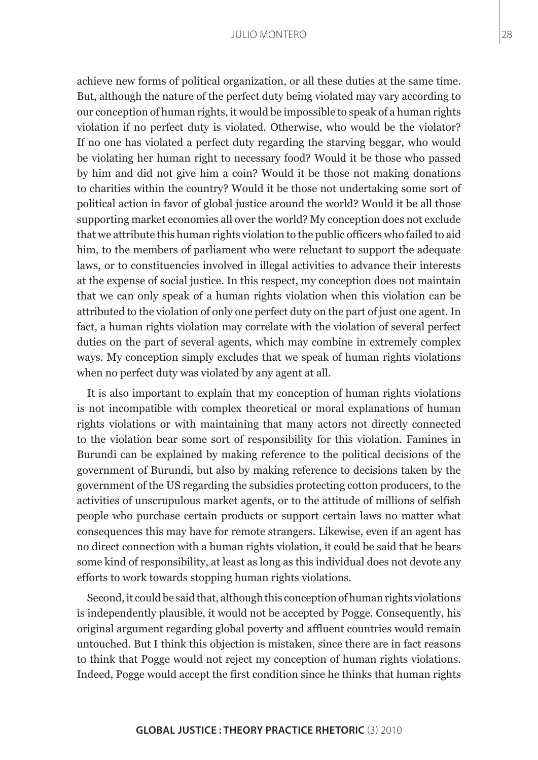achieve new forms of political organization, or all these duties at the same time. But, although the nature of the perfect duty being violated may vary according to our conception of human rights, it would be impossible to speak of a human rights violation if no perfect duty is violated. Otherwise, who would be the violator? If no one has violated a perfect duty regarding the starving beggar, who would be violating her human right to necessary food? Would it be those who passed by him and did not give him a coin? Would it be those not making donations to charities within the country? Would it be those not undertaking some sort of political action in favor of global justice around the world? Would it be all those supporting market economies all over the world? My conception does not exclude that we attribute this human rights violation to the public officers who failed to aid him, to the members of parliament who were reluctant to support the adequate laws, or to constituencies involved in illegal activities to advance their interests at the expense of social justice. In this respect, my conception does not maintain that we can only speak of a human rights violation when this violation can be attributed to the violation of only one perfect duty on the part of just one agent. In fact, a human rights violation may correlate with the violation of several perfect duties on the part of several agents, which may combine in extremely complex ways. My conception simply excludes that we speak of human rights violations when no perfect duty was violated by any agent at all.

It is also important to explain that my conception of human rights violations is not incompatible with complex theoretical or moral explanations of human rights violations or with maintaining that many actors not directly connected to the violation bear some sort of responsibility for this violation. Famines in Burundi can be explained by making reference to the political decisions of the government of Burundi, but also by making reference to decisions taken by the government of the US regarding the subsidies protecting cotton producers, to the activities of unscrupulous market agents, or to the attitude of millions of selfish people who purchase certain products or support certain laws no matter what consequences this may have for remote strangers. Likewise, even if an agent has no direct connection with a human rights violation, it could be said that he bears some kind of responsibility, at least as long as this individual does not devote any efforts to work towards stopping human rights violations.

Second, it could be said that, although this conception of human rights violations is independently plausible, it would not be accepted by Pogge. Consequently, his original argument regarding global poverty and affluent countries would remain untouched. But I think this objection is mistaken, since there are in fact reasons to think that Pogge would not reject my conception of human rights violations. Indeed, Pogge would accept the first condition since he thinks that human rights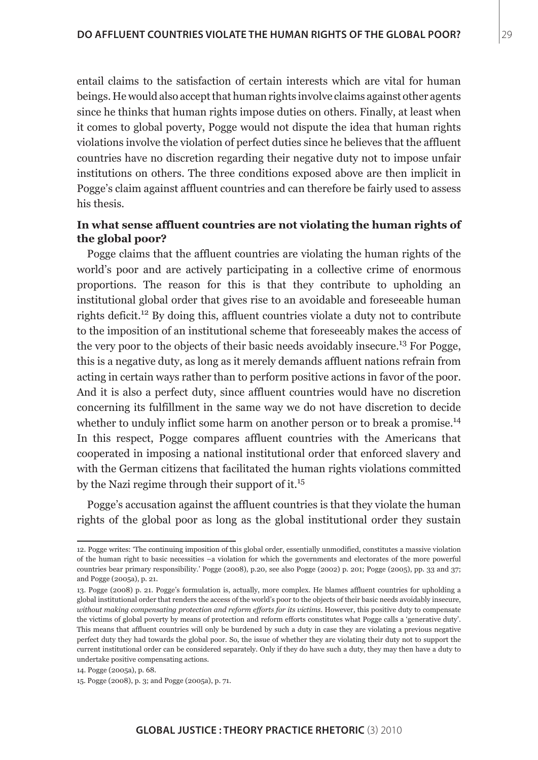entail claims to the satisfaction of certain interests which are vital for human beings. He would also accept that human rights involve claims against other agents since he thinks that human rights impose duties on others. Finally, at least when it comes to global poverty, Pogge would not dispute the idea that human rights violations involve the violation of perfect duties since he believes that the affluent countries have no discretion regarding their negative duty not to impose unfair institutions on others. The three conditions exposed above are then implicit in Pogge's claim against affluent countries and can therefore be fairly used to assess his thesis.

## **In what sense affluent countries are not violating the human rights of the global poor?**

Pogge claims that the affluent countries are violating the human rights of the world's poor and are actively participating in a collective crime of enormous proportions. The reason for this is that they contribute to upholding an institutional global order that gives rise to an avoidable and foreseeable human rights deficit.12 By doing this, affluent countries violate a duty not to contribute to the imposition of an institutional scheme that foreseeably makes the access of the very poor to the objects of their basic needs avoidably insecure.<sup>13</sup> For Pogge, this is a negative duty, as long as it merely demands affluent nations refrain from acting in certain ways rather than to perform positive actions in favor of the poor. And it is also a perfect duty, since affluent countries would have no discretion concerning its fulfillment in the same way we do not have discretion to decide whether to unduly inflict some harm on another person or to break a promise.<sup>14</sup> In this respect, Pogge compares affluent countries with the Americans that cooperated in imposing a national institutional order that enforced slavery and with the German citizens that facilitated the human rights violations committed by the Nazi regime through their support of it.<sup>15</sup>

Pogge's accusation against the affluent countries is that they violate the human rights of the global poor as long as the global institutional order they sustain

<sup>12.</sup> Pogge writes: 'The continuing imposition of this global order, essentially unmodified, constitutes a massive violation of the human right to basic necessities –a violation for which the governments and electorates of the more powerful countries bear primary responsibility.' Pogge (2008), p.20, see also Pogge (2002) p. 201; Pogge (2005), pp. 33 and 37; and Pogge (2005a), p. 21.

<sup>13.</sup> Pogge (2008) p. 21. Pogge's formulation is, actually, more complex. He blames affluent countries for upholding a global institutional order that renders the access of the world's poor to the objects of their basic needs avoidably insecure, *without making compensating protection and reform efforts for its victims*. However, this positive duty to compensate the victims of global poverty by means of protection and reform efforts constitutes what Pogge calls a 'generative duty'. This means that affluent countries will only be burdened by such a duty in case they are violating a previous negative perfect duty they had towards the global poor. So, the issue of whether they are violating their duty not to support the current institutional order can be considered separately. Only if they do have such a duty, they may then have a duty to undertake positive compensating actions.

<sup>14.</sup> Pogge (2005a), p. 68.

<sup>15.</sup> Pogge (2008), p. 3; and Pogge (2005a), p. 71.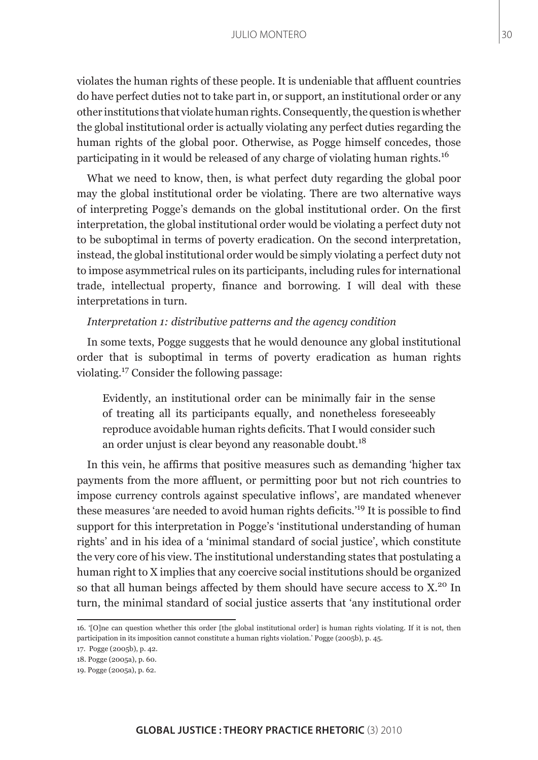violates the human rights of these people. It is undeniable that affluent countries do have perfect duties not to take part in, or support, an institutional order or any other institutions that violate human rights. Consequently, the question is whether the global institutional order is actually violating any perfect duties regarding the human rights of the global poor. Otherwise, as Pogge himself concedes, those participating in it would be released of any charge of violating human rights.<sup>16</sup>

What we need to know, then, is what perfect duty regarding the global poor may the global institutional order be violating. There are two alternative ways of interpreting Pogge's demands on the global institutional order. On the first interpretation, the global institutional order would be violating a perfect duty not to be suboptimal in terms of poverty eradication. On the second interpretation, instead, the global institutional order would be simply violating a perfect duty not to impose asymmetrical rules on its participants, including rules for international trade, intellectual property, finance and borrowing. I will deal with these interpretations in turn.

## *Interpretation 1: distributive patterns and the agency condition*

In some texts, Pogge suggests that he would denounce any global institutional order that is suboptimal in terms of poverty eradication as human rights violating.17 Consider the following passage:

Evidently, an institutional order can be minimally fair in the sense of treating all its participants equally, and nonetheless foreseeably reproduce avoidable human rights deficits. That I would consider such an order unjust is clear beyond any reasonable doubt.<sup>18</sup>

In this vein, he affirms that positive measures such as demanding 'higher tax payments from the more affluent, or permitting poor but not rich countries to impose currency controls against speculative inflows', are mandated whenever these measures 'are needed to avoid human rights deficits.'19 It is possible to find support for this interpretation in Pogge's 'institutional understanding of human rights' and in his idea of a 'minimal standard of social justice', which constitute the very core of his view. The institutional understanding states that postulating a human right to X implies that any coercive social institutions should be organized so that all human beings affected by them should have secure access to  $X<sup>20</sup>$ . In turn, the minimal standard of social justice asserts that 'any institutional order

<sup>16. &#</sup>x27;[O]ne can question whether this order [the global institutional order] is human rights violating. If it is not, then participation in its imposition cannot constitute a human rights violation.' Pogge (2005b), p. 45.

<sup>17.</sup> Pogge (2005b), p. 42.

<sup>18.</sup> Pogge (2005a), p. 60.

<sup>19.</sup> Pogge (2005a), p. 62.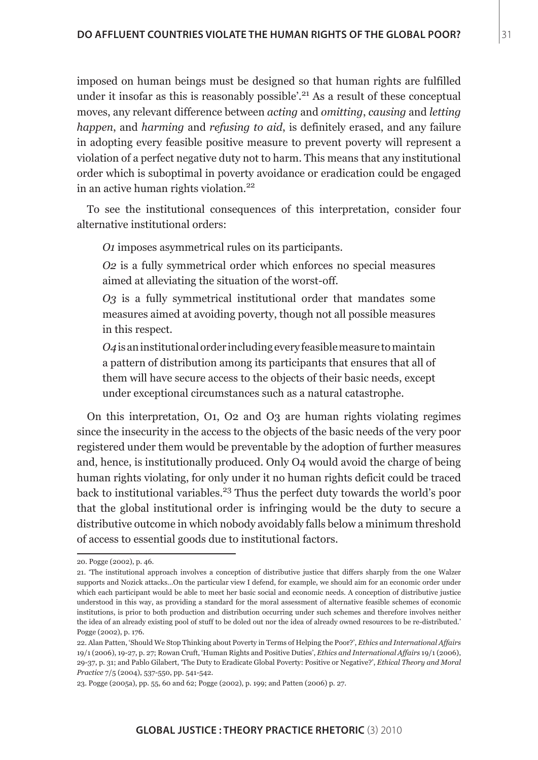imposed on human beings must be designed so that human rights are fulfilled under it insofar as this is reasonably possible'.<sup>21</sup> As a result of these conceptual moves, any relevant difference between *acting* and *omitting*, *causing* and *letting happen*, and *harming* and *refusing to aid*, is definitely erased, and any failure in adopting every feasible positive measure to prevent poverty will represent a violation of a perfect negative duty not to harm. This means that any institutional order which is suboptimal in poverty avoidance or eradication could be engaged in an active human rights violation.<sup>22</sup>

To see the institutional consequences of this interpretation, consider four alternative institutional orders:

*O1* imposes asymmetrical rules on its participants.

*O2* is a fully symmetrical order which enforces no special measures aimed at alleviating the situation of the worst-off.

*O3* is a fully symmetrical institutional order that mandates some measures aimed at avoiding poverty, though not all possible measures in this respect.

*O4* is an institutional order including every feasible measure to maintain a pattern of distribution among its participants that ensures that all of them will have secure access to the objects of their basic needs, except under exceptional circumstances such as a natural catastrophe.

On this interpretation, O1, O2 and O3 are human rights violating regimes since the insecurity in the access to the objects of the basic needs of the very poor registered under them would be preventable by the adoption of further measures and, hence, is institutionally produced. Only O4 would avoid the charge of being human rights violating, for only under it no human rights deficit could be traced back to institutional variables.<sup>23</sup> Thus the perfect duty towards the world's poor that the global institutional order is infringing would be the duty to secure a distributive outcome in which nobody avoidably falls below a minimum threshold of access to essential goods due to institutional factors.

<sup>20.</sup> Pogge (2002), p. 46.

<sup>21. &#</sup>x27;The institutional approach involves a conception of distributive justice that differs sharply from the one Walzer supports and Nozick attacks…On the particular view I defend, for example, we should aim for an economic order under which each participant would be able to meet her basic social and economic needs. A conception of distributive justice understood in this way, as providing a standard for the moral assessment of alternative feasible schemes of economic institutions, is prior to both production and distribution occurring under such schemes and therefore involves neither the idea of an already existing pool of stuff to be doled out nor the idea of already owned resources to be re-distributed.' Pogge (2002), p. 176.

<sup>22.</sup> Alan Patten, 'Should We Stop Thinking about Poverty in Terms of Helping the Poor?', *Ethics and International Affairs*  19/1 (2006), 19-27, p. 27; Rowan Cruft, 'Human Rights and Positive Duties', *Ethics and International Affairs* 19/1 (2006), 29-37, p. 31; and Pablo Gilabert, 'The Duty to Eradicate Global Poverty: Positive or Negative?', *Ethical Theory and Moral Practice* 7/5 (2004), 537-550, pp. 541-542.

<sup>23.</sup> Pogge (2005a), pp. 55, 60 and 62; Pogge (2002), p. 199; and Patten (2006) p. 27.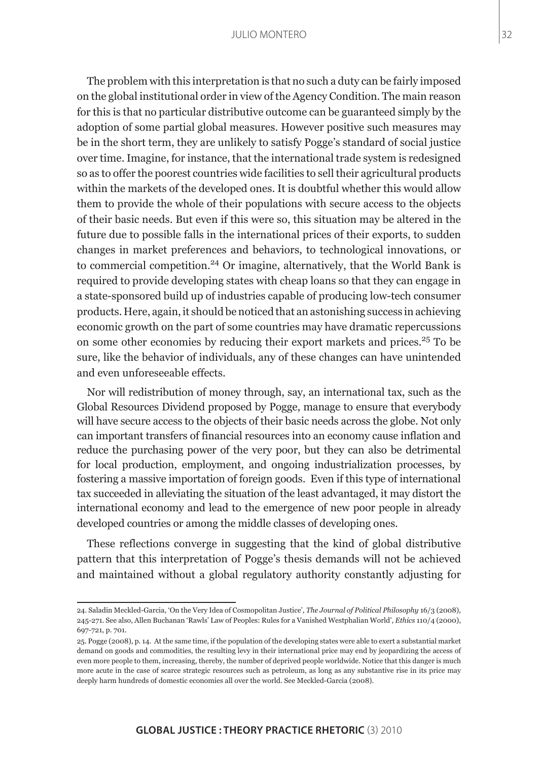The problem with this interpretation is that no such a duty can be fairly imposed on the global institutional order in view of the Agency Condition. The main reason for this is that no particular distributive outcome can be guaranteed simply by the adoption of some partial global measures. However positive such measures may be in the short term, they are unlikely to satisfy Pogge's standard of social justice over time. Imagine, for instance, that the international trade system is redesigned so as to offer the poorest countries wide facilities to sell their agricultural products within the markets of the developed ones. It is doubtful whether this would allow them to provide the whole of their populations with secure access to the objects of their basic needs. But even if this were so, this situation may be altered in the future due to possible falls in the international prices of their exports, to sudden changes in market preferences and behaviors, to technological innovations, or to commercial competition.24 Or imagine, alternatively, that the World Bank is required to provide developing states with cheap loans so that they can engage in a state-sponsored build up of industries capable of producing low-tech consumer products. Here, again, it should be noticed that an astonishing success in achieving economic growth on the part of some countries may have dramatic repercussions on some other economies by reducing their export markets and prices.<sup>25</sup> To be sure, like the behavior of individuals, any of these changes can have unintended and even unforeseeable effects.

Nor will redistribution of money through, say, an international tax, such as the Global Resources Dividend proposed by Pogge, manage to ensure that everybody will have secure access to the objects of their basic needs across the globe. Not only can important transfers of financial resources into an economy cause inflation and reduce the purchasing power of the very poor, but they can also be detrimental for local production, employment, and ongoing industrialization processes, by fostering a massive importation of foreign goods. Even if this type of international tax succeeded in alleviating the situation of the least advantaged, it may distort the international economy and lead to the emergence of new poor people in already developed countries or among the middle classes of developing ones.

These reflections converge in suggesting that the kind of global distributive pattern that this interpretation of Pogge's thesis demands will not be achieved and maintained without a global regulatory authority constantly adjusting for

<sup>24.</sup> Saladin Meckled-Garcia, 'On the Very Idea of Cosmopolitan Justice', *The Journal of Political Philosophy* 16/3 (2008), 245-271. See also, Allen Buchanan 'Rawls' Law of Peoples: Rules for a Vanished Westphalian World', *Ethics* 110/4 (2000), 697-721, p. 701.

<sup>25.</sup> Pogge (2008), p. 14. At the same time, if the population of the developing states were able to exert a substantial market demand on goods and commodities, the resulting levy in their international price may end by jeopardizing the access of even more people to them, increasing, thereby, the number of deprived people worldwide. Notice that this danger is much more acute in the case of scarce strategic resources such as petroleum, as long as any substantive rise in its price may deeply harm hundreds of domestic economies all over the world. See Meckled-Garcia (2008).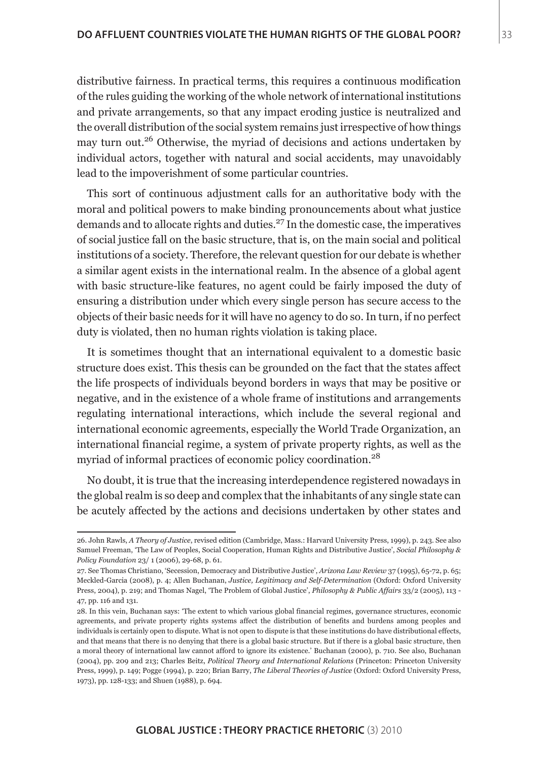distributive fairness. In practical terms, this requires a continuous modification of the rules guiding the working of the whole network of international institutions and private arrangements, so that any impact eroding justice is neutralized and the overall distribution of the social system remains just irrespective of how things may turn out.<sup>26</sup> Otherwise, the myriad of decisions and actions undertaken by individual actors, together with natural and social accidents, may unavoidably lead to the impoverishment of some particular countries.

This sort of continuous adjustment calls for an authoritative body with the moral and political powers to make binding pronouncements about what justice demands and to allocate rights and duties.27 In the domestic case, the imperatives of social justice fall on the basic structure, that is, on the main social and political institutions of a society. Therefore, the relevant question for our debate is whether a similar agent exists in the international realm. In the absence of a global agent with basic structure-like features, no agent could be fairly imposed the duty of ensuring a distribution under which every single person has secure access to the objects of their basic needs for it will have no agency to do so. In turn, if no perfect duty is violated, then no human rights violation is taking place.

It is sometimes thought that an international equivalent to a domestic basic structure does exist. This thesis can be grounded on the fact that the states affect the life prospects of individuals beyond borders in ways that may be positive or negative, and in the existence of a whole frame of institutions and arrangements regulating international interactions, which include the several regional and international economic agreements, especially the World Trade Organization, an international financial regime, a system of private property rights, as well as the myriad of informal practices of economic policy coordination.28

No doubt, it is true that the increasing interdependence registered nowadays in the global realm is so deep and complex that the inhabitants of any single state can be acutely affected by the actions and decisions undertaken by other states and

<sup>26.</sup> John Rawls, *A Theory of Justice*, revised edition (Cambridge, Mass.: Harvard University Press, 1999), p. 243. See also Samuel Freeman, 'The Law of Peoples, Social Cooperation, Human Rights and Distributive Justice', *Social Philosophy & Policy Foundation* 23/ 1 (2006), 29-68, p. 61.

<sup>27.</sup> See Thomas Christiano, 'Secession, Democracy and Distributive Justice', *Arizona Law Review* 37 (1995), 65-72, p. 65; Meckled-Garcia (2008), p. 4; Allen Buchanan, *Justice, Legitimacy and Self-Determination* (Oxford: Oxford University Press, 2004), p. 219; and Thomas Nagel, 'The Problem of Global Justice', *Philosophy & Public Affairs* 33/2 (2005), 113 - 47, pp. 116 and 131.

<sup>28.</sup> In this vein, Buchanan says: 'The extent to which various global financial regimes, governance structures, economic agreements, and private property rights systems affect the distribution of benefits and burdens among peoples and individuals is certainly open to dispute. What is not open to dispute is that these institutions do have distributional effects, and that means that there is no denying that there is a global basic structure. But if there is a global basic structure, then a moral theory of international law cannot afford to ignore its existence.' Buchanan (2000), p. 710. See also, Buchanan (2004), pp. 209 and 213; Charles Beitz, *Political Theory and International Relations* (Princeton: Princeton University Press, 1999), p. 149; Pogge (1994), p. 220; Brian Barry, *The Liberal Theories of Justice* (Oxford: Oxford University Press, 1973), pp. 128-133; and Shuen (1988), p. 694.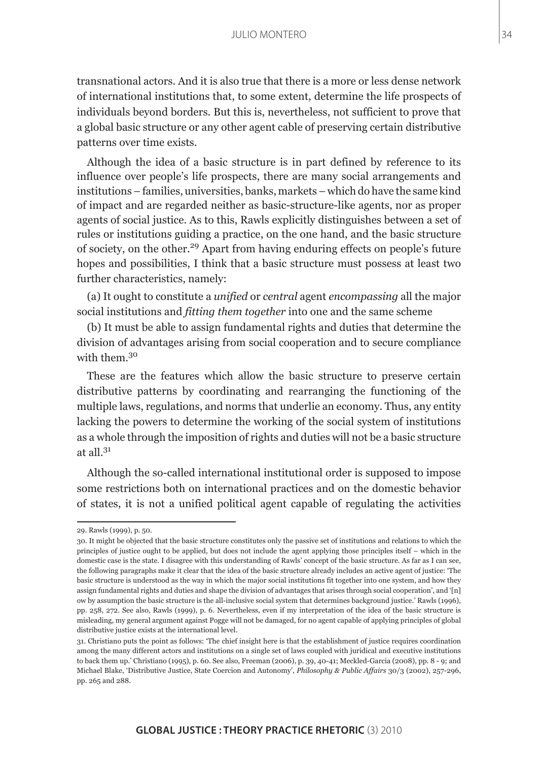transnational actors. And it is also true that there is a more or less dense network of international institutions that, to some extent, determine the life prospects of individuals beyond borders. But this is, nevertheless, not sufficient to prove that a global basic structure or any other agent cable of preserving certain distributive patterns over time exists.

Although the idea of a basic structure is in part defined by reference to its influence over people's life prospects, there are many social arrangements and institutions – families, universities, banks, markets – which do have the same kind of impact and are regarded neither as basic-structure-like agents, nor as proper agents of social justice. As to this, Rawls explicitly distinguishes between a set of rules or institutions guiding a practice, on the one hand, and the basic structure of society, on the other.29 Apart from having enduring effects on people's future hopes and possibilities, I think that a basic structure must possess at least two further characteristics, namely:

(a) It ought to constitute a *unified* or *central* agent *encompassing* all the major social institutions and *fitting them together* into one and the same scheme

(b) It must be able to assign fundamental rights and duties that determine the division of advantages arising from social cooperation and to secure compliance with them  $30$ 

These are the features which allow the basic structure to preserve certain distributive patterns by coordinating and rearranging the functioning of the multiple laws, regulations, and norms that underlie an economy. Thus, any entity lacking the powers to determine the working of the social system of institutions as a whole through the imposition of rights and duties will not be a basic structure at all $^{31}$ 

Although the so-called international institutional order is supposed to impose some restrictions both on international practices and on the domestic behavior of states, it is not a unified political agent capable of regulating the activities

<sup>29.</sup> Rawls (1999), p. 50.

<sup>30.</sup> It might be objected that the basic structure constitutes only the passive set of institutions and relations to which the principles of justice ought to be applied, but does not include the agent applying those principles itself – which in the domestic case is the state. I disagree with this understanding of Rawls' concept of the basic structure. As far as I can see, the following paragraphs make it clear that the idea of the basic structure already includes an active agent of justice: 'The basic structure is understood as the way in which the major social institutions fit together into one system, and how they assign fundamental rights and duties and shape the division of advantages that arises through social cooperation', and '[n] ow by assumption the basic structure is the all-inclusive social system that determines background justice.' Rawls (1996), pp. 258, 272. See also, Rawls (1999), p. 6. Nevertheless, even if my interpretation of the idea of the basic structure is misleading, my general argument against Pogge will not be damaged, for no agent capable of applying principles of global distributive justice exists at the international level.

<sup>31.</sup> Christiano puts the point as follows: 'The chief insight here is that the establishment of justice requires coordination among the many different actors and institutions on a single set of laws coupled with juridical and executive institutions to back them up.' Christiano (1995), p. 60. See also, Freeman (2006), p. 39, 40-41; Meckled-Garcia (2008), pp. 8 - 9; and Michael Blake, 'Distributive Justice, State Coercion and Autonomy', *Philosophy & Public Affairs* 30/3 (2002), 257-296, pp. 265 and 288.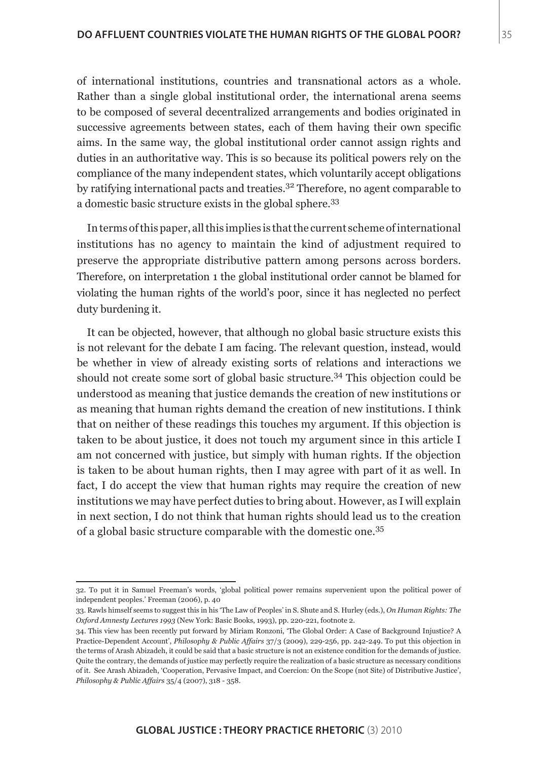of international institutions, countries and transnational actors as a whole. Rather than a single global institutional order, the international arena seems to be composed of several decentralized arrangements and bodies originated in successive agreements between states, each of them having their own specific aims. In the same way, the global institutional order cannot assign rights and duties in an authoritative way. This is so because its political powers rely on the compliance of the many independent states, which voluntarily accept obligations by ratifying international pacts and treaties.32 Therefore, no agent comparable to a domestic basic structure exists in the global sphere.33

In terms of this paper, all this implies is that the current scheme of international institutions has no agency to maintain the kind of adjustment required to preserve the appropriate distributive pattern among persons across borders. Therefore, on interpretation 1 the global institutional order cannot be blamed for violating the human rights of the world's poor, since it has neglected no perfect duty burdening it.

It can be objected, however, that although no global basic structure exists this is not relevant for the debate I am facing. The relevant question, instead, would be whether in view of already existing sorts of relations and interactions we should not create some sort of global basic structure.<sup>34</sup> This objection could be understood as meaning that justice demands the creation of new institutions or as meaning that human rights demand the creation of new institutions. I think that on neither of these readings this touches my argument. If this objection is taken to be about justice, it does not touch my argument since in this article I am not concerned with justice, but simply with human rights. If the objection is taken to be about human rights, then I may agree with part of it as well. In fact, I do accept the view that human rights may require the creation of new institutions we may have perfect duties to bring about. However, as I will explain in next section, I do not think that human rights should lead us to the creation of a global basic structure comparable with the domestic one.35

<sup>32.</sup> To put it in Samuel Freeman's words, 'global political power remains supervenient upon the political power of independent peoples.' Freeman (2006), p. 40

<sup>33.</sup> Rawls himself seems to suggest this in his 'The Law of Peoples' in S. Shute and S. Hurley (eds.), *On Human Rights: The Oxford Amnesty Lectures 1993* (New York: Basic Books, 1993), pp. 220-221, footnote 2.

<sup>34.</sup> This view has been recently put forward by Miriam Ronzoni, 'The Global Order: A Case of Background Injustice? A Practice-Dependent Account', *Philosophy & Public Affairs* 37/3 (2009), 229-256, pp. 242-249. To put this objection in the terms of Arash Abizadeh, it could be said that a basic structure is not an existence condition for the demands of justice. Quite the contrary, the demands of justice may perfectly require the realization of a basic structure as necessary conditions of it. See Arash Abizadeh, 'Cooperation, Pervasive Impact, and Coercion: On the Scope (not Site) of Distributive Justice', *Philosophy & Public Affairs* 35/4 (2007), 318 - 358.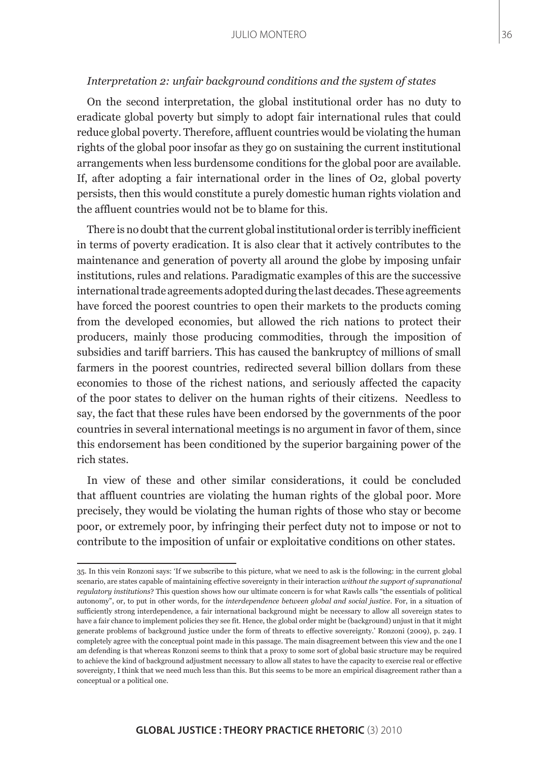### *Interpretation 2: unfair background conditions and the system of states*

On the second interpretation, the global institutional order has no duty to eradicate global poverty but simply to adopt fair international rules that could reduce global poverty. Therefore, affluent countries would be violating the human rights of the global poor insofar as they go on sustaining the current institutional arrangements when less burdensome conditions for the global poor are available. If, after adopting a fair international order in the lines of O2, global poverty persists, then this would constitute a purely domestic human rights violation and the affluent countries would not be to blame for this.

There is no doubt that the current global institutional order is terribly inefficient in terms of poverty eradication. It is also clear that it actively contributes to the maintenance and generation of poverty all around the globe by imposing unfair institutions, rules and relations. Paradigmatic examples of this are the successive international trade agreements adopted during the last decades. These agreements have forced the poorest countries to open their markets to the products coming from the developed economies, but allowed the rich nations to protect their producers, mainly those producing commodities, through the imposition of subsidies and tariff barriers. This has caused the bankruptcy of millions of small farmers in the poorest countries, redirected several billion dollars from these economies to those of the richest nations, and seriously affected the capacity of the poor states to deliver on the human rights of their citizens. Needless to say, the fact that these rules have been endorsed by the governments of the poor countries in several international meetings is no argument in favor of them, since this endorsement has been conditioned by the superior bargaining power of the rich states.

In view of these and other similar considerations, it could be concluded that affluent countries are violating the human rights of the global poor. More precisely, they would be violating the human rights of those who stay or become poor, or extremely poor, by infringing their perfect duty not to impose or not to contribute to the imposition of unfair or exploitative conditions on other states.

<sup>35.</sup> In this vein Ronzoni says: 'If we subscribe to this picture, what we need to ask is the following: in the current global scenario, are states capable of maintaining effective sovereignty in their interaction *without the support of supranational regulatory institutions*? This question shows how our ultimate concern is for what Rawls calls "the essentials of political autonomy", or, to put in other words, for the *interdependence between global and social justice*. For, in a situation of sufficiently strong interdependence, a fair international background might be necessary to allow all sovereign states to have a fair chance to implement policies they see fit. Hence, the global order might be (background) unjust in that it might generate problems of background justice under the form of threats to effective sovereignty.' Ronzoni (2009), p. 249. I completely agree with the conceptual point made in this passage. The main disagreement between this view and the one I am defending is that whereas Ronzoni seems to think that a proxy to some sort of global basic structure may be required to achieve the kind of background adjustment necessary to allow all states to have the capacity to exercise real or effective sovereignty, I think that we need much less than this. But this seems to be more an empirical disagreement rather than a conceptual or a political one.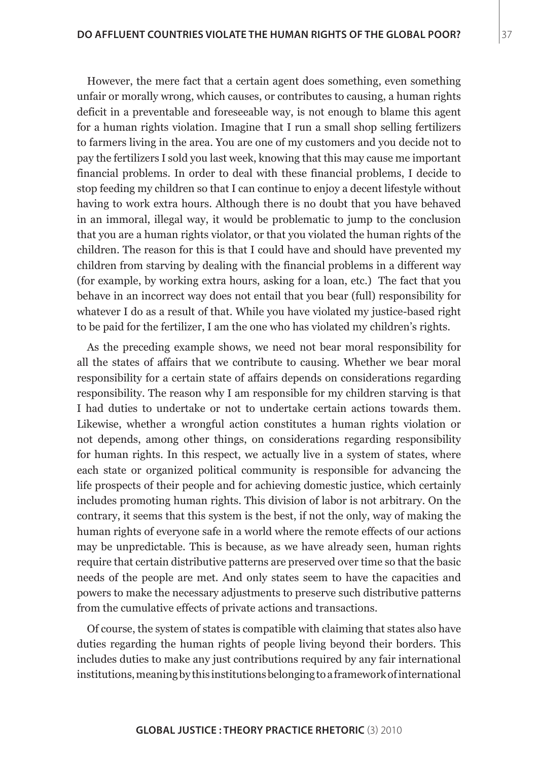However, the mere fact that a certain agent does something, even something unfair or morally wrong, which causes, or contributes to causing, a human rights deficit in a preventable and foreseeable way, is not enough to blame this agent for a human rights violation. Imagine that I run a small shop selling fertilizers to farmers living in the area. You are one of my customers and you decide not to pay the fertilizers I sold you last week, knowing that this may cause me important financial problems. In order to deal with these financial problems, I decide to stop feeding my children so that I can continue to enjoy a decent lifestyle without having to work extra hours. Although there is no doubt that you have behaved in an immoral, illegal way, it would be problematic to jump to the conclusion that you are a human rights violator, or that you violated the human rights of the children. The reason for this is that I could have and should have prevented my children from starving by dealing with the financial problems in a different way (for example, by working extra hours, asking for a loan, etc.) The fact that you behave in an incorrect way does not entail that you bear (full) responsibility for whatever I do as a result of that. While you have violated my justice-based right to be paid for the fertilizer, I am the one who has violated my children's rights.

As the preceding example shows, we need not bear moral responsibility for all the states of affairs that we contribute to causing. Whether we bear moral responsibility for a certain state of affairs depends on considerations regarding responsibility. The reason why I am responsible for my children starving is that I had duties to undertake or not to undertake certain actions towards them. Likewise, whether a wrongful action constitutes a human rights violation or not depends, among other things, on considerations regarding responsibility for human rights. In this respect, we actually live in a system of states, where each state or organized political community is responsible for advancing the life prospects of their people and for achieving domestic justice, which certainly includes promoting human rights. This division of labor is not arbitrary. On the contrary, it seems that this system is the best, if not the only, way of making the human rights of everyone safe in a world where the remote effects of our actions may be unpredictable. This is because, as we have already seen, human rights require that certain distributive patterns are preserved over time so that the basic needs of the people are met. And only states seem to have the capacities and powers to make the necessary adjustments to preserve such distributive patterns from the cumulative effects of private actions and transactions.

Of course, the system of states is compatible with claiming that states also have duties regarding the human rights of people living beyond their borders. This includes duties to make any just contributions required by any fair international institutions, meaning by this institutions belonging to a framework of international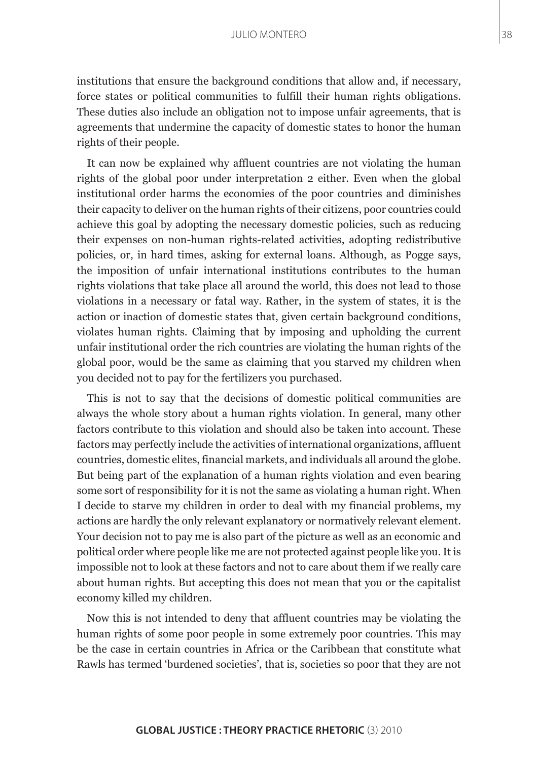institutions that ensure the background conditions that allow and, if necessary, force states or political communities to fulfill their human rights obligations. These duties also include an obligation not to impose unfair agreements, that is agreements that undermine the capacity of domestic states to honor the human rights of their people.

It can now be explained why affluent countries are not violating the human rights of the global poor under interpretation 2 either. Even when the global institutional order harms the economies of the poor countries and diminishes their capacity to deliver on the human rights of their citizens, poor countries could achieve this goal by adopting the necessary domestic policies, such as reducing their expenses on non-human rights-related activities, adopting redistributive policies, or, in hard times, asking for external loans. Although, as Pogge says, the imposition of unfair international institutions contributes to the human rights violations that take place all around the world, this does not lead to those violations in a necessary or fatal way. Rather, in the system of states, it is the action or inaction of domestic states that, given certain background conditions, violates human rights. Claiming that by imposing and upholding the current unfair institutional order the rich countries are violating the human rights of the global poor, would be the same as claiming that you starved my children when you decided not to pay for the fertilizers you purchased.

This is not to say that the decisions of domestic political communities are always the whole story about a human rights violation. In general, many other factors contribute to this violation and should also be taken into account. These factors may perfectly include the activities of international organizations, affluent countries, domestic elites, financial markets, and individuals all around the globe. But being part of the explanation of a human rights violation and even bearing some sort of responsibility for it is not the same as violating a human right. When I decide to starve my children in order to deal with my financial problems, my actions are hardly the only relevant explanatory or normatively relevant element. Your decision not to pay me is also part of the picture as well as an economic and political order where people like me are not protected against people like you. It is impossible not to look at these factors and not to care about them if we really care about human rights. But accepting this does not mean that you or the capitalist economy killed my children.

Now this is not intended to deny that affluent countries may be violating the human rights of some poor people in some extremely poor countries. This may be the case in certain countries in Africa or the Caribbean that constitute what Rawls has termed 'burdened societies', that is, societies so poor that they are not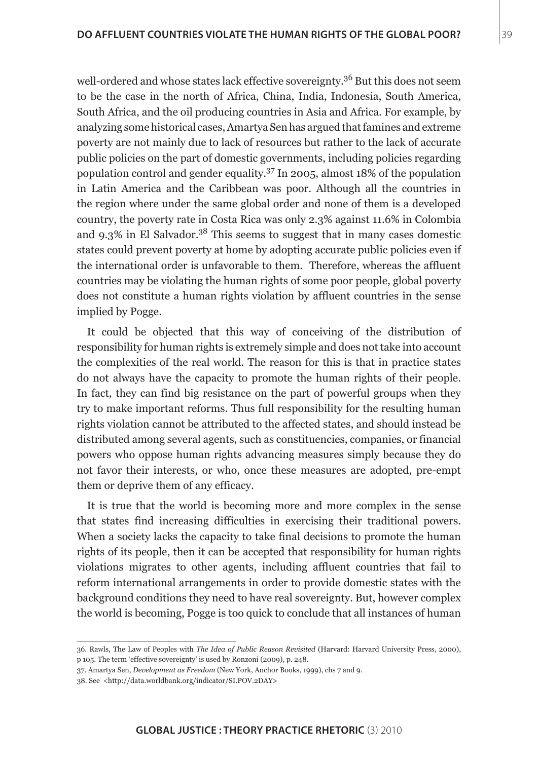well-ordered and whose states lack effective sovereignty.<sup>36</sup> But this does not seem to be the case in the north of Africa, China, India, Indonesia, South America, South Africa, and the oil producing countries in Asia and Africa. For example, by analyzing some historical cases, Amartya Sen has argued that famines and extreme poverty are not mainly due to lack of resources but rather to the lack of accurate public policies on the part of domestic governments, including policies regarding population control and gender equality.37 In 2005, almost 18% of the population in Latin America and the Caribbean was poor. Although all the countries in the region where under the same global order and none of them is a developed country, the poverty rate in Costa Rica was only 2.3% against 11.6% in Colombia and  $9.3\%$  in El Salvador.<sup>38</sup> This seems to suggest that in many cases domestic states could prevent poverty at home by adopting accurate public policies even if the international order is unfavorable to them. Therefore, whereas the affluent countries may be violating the human rights of some poor people, global poverty does not constitute a human rights violation by affluent countries in the sense implied by Pogge.

It could be objected that this way of conceiving of the distribution of responsibility for human rights is extremely simple and does not take into account the complexities of the real world. The reason for this is that in practice states do not always have the capacity to promote the human rights of their people. In fact, they can find big resistance on the part of powerful groups when they try to make important reforms. Thus full responsibility for the resulting human rights violation cannot be attributed to the affected states, and should instead be distributed among several agents, such as constituencies, companies, or financial powers who oppose human rights advancing measures simply because they do not favor their interests, or who, once these measures are adopted, pre-empt them or deprive them of any efficacy.

It is true that the world is becoming more and more complex in the sense that states find increasing difficulties in exercising their traditional powers. When a society lacks the capacity to take final decisions to promote the human rights of its people, then it can be accepted that responsibility for human rights violations migrates to other agents, including affluent countries that fail to reform international arrangements in order to provide domestic states with the background conditions they need to have real sovereignty. But, however complex the world is becoming, Pogge is too quick to conclude that all instances of human

37. Amartya Sen, *Development as Freedom* (New York, Anchor Books, 1999), chs 7 and 9.

<sup>36.</sup> Rawls, The Law of Peoples with *The Idea of Public Reason Revisited* (Harvard: Harvard University Press, 2000), p 105. The term 'effective sovereignty' is used by Ronzoni (2009), p. 248.

<sup>38.</sup> See <http://data.worldbank.org/indicator/SI.POV.2DAY>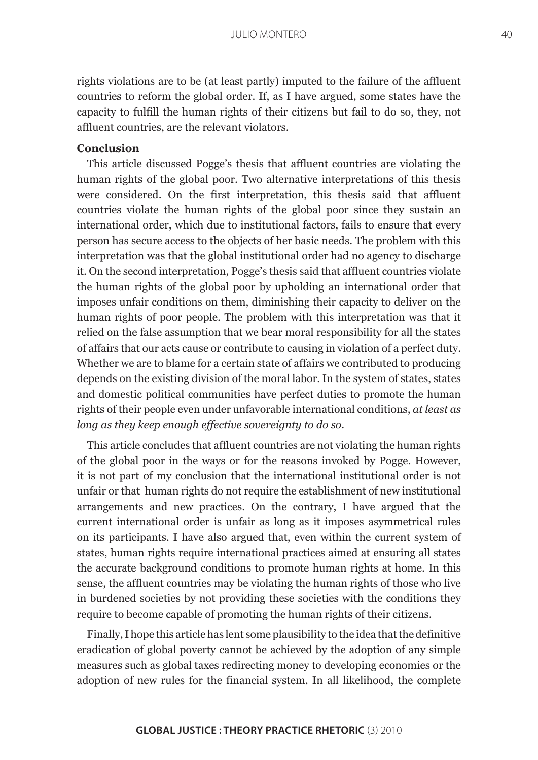rights violations are to be (at least partly) imputed to the failure of the affluent countries to reform the global order. If, as I have argued, some states have the capacity to fulfill the human rights of their citizens but fail to do so, they, not affluent countries, are the relevant violators.

## **Conclusion**

This article discussed Pogge's thesis that affluent countries are violating the human rights of the global poor. Two alternative interpretations of this thesis were considered. On the first interpretation, this thesis said that affluent countries violate the human rights of the global poor since they sustain an international order, which due to institutional factors, fails to ensure that every person has secure access to the objects of her basic needs. The problem with this interpretation was that the global institutional order had no agency to discharge it. On the second interpretation, Pogge's thesis said that affluent countries violate the human rights of the global poor by upholding an international order that imposes unfair conditions on them, diminishing their capacity to deliver on the human rights of poor people. The problem with this interpretation was that it relied on the false assumption that we bear moral responsibility for all the states of affairs that our acts cause or contribute to causing in violation of a perfect duty. Whether we are to blame for a certain state of affairs we contributed to producing depends on the existing division of the moral labor. In the system of states, states and domestic political communities have perfect duties to promote the human rights of their people even under unfavorable international conditions, *at least as long as they keep enough effective sovereignty to do so*.

This article concludes that affluent countries are not violating the human rights of the global poor in the ways or for the reasons invoked by Pogge. However, it is not part of my conclusion that the international institutional order is not unfair or that human rights do not require the establishment of new institutional arrangements and new practices. On the contrary, I have argued that the current international order is unfair as long as it imposes asymmetrical rules on its participants. I have also argued that, even within the current system of states, human rights require international practices aimed at ensuring all states the accurate background conditions to promote human rights at home. In this sense, the affluent countries may be violating the human rights of those who live in burdened societies by not providing these societies with the conditions they require to become capable of promoting the human rights of their citizens.

Finally, I hope this article has lent some plausibility to the idea that the definitive eradication of global poverty cannot be achieved by the adoption of any simple measures such as global taxes redirecting money to developing economies or the adoption of new rules for the financial system. In all likelihood, the complete